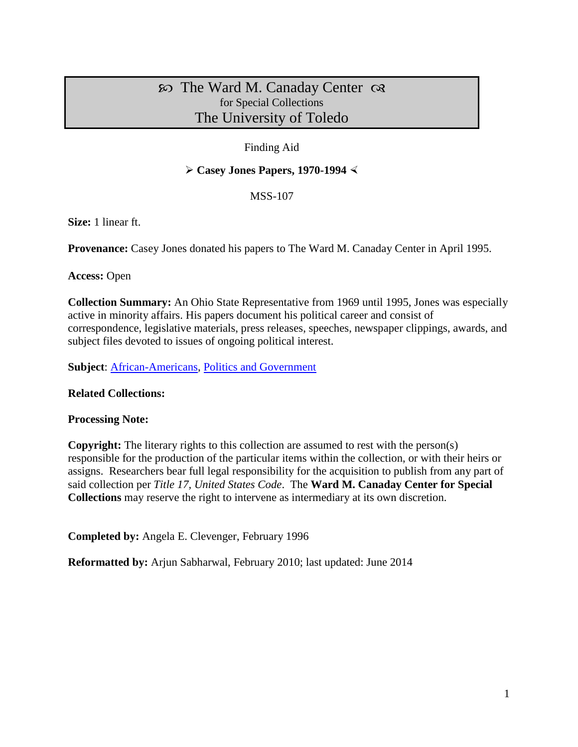## $\infty$  The Ward M. Canaday Center  $\infty$ for Special Collections The University of Toledo

## Finding Aid

### $\triangleright$  Casey Jones Papers, 1970-1994  $\triangleleft$

MSS-107

**Size:** 1 linear ft.

**Provenance:** Casey Jones donated his papers to The Ward M. Canaday Center in April 1995.

**Access:** Open

**Collection Summary:** An Ohio State Representative from 1969 until 1995, Jones was especially active in minority affairs. His papers document his political career and consist of correspondence, legislative materials, press releases, speeches, newspaper clippings, awards, and subject files devoted to issues of ongoing political interest.

**Subject**: [African-Americans,](http://www.utoledo.edu/library/canaday/guidepages/aa.html) [Politics and Government](http://www.utoledo.edu/library/canaday/guidepages/politics.html)

#### **Related Collections:**

#### **Processing Note:**

**Copyright:** The literary rights to this collection are assumed to rest with the person(s) responsible for the production of the particular items within the collection, or with their heirs or assigns. Researchers bear full legal responsibility for the acquisition to publish from any part of said collection per *Title 17, United States Code*. The **Ward M. Canaday Center for Special Collections** may reserve the right to intervene as intermediary at its own discretion.

**Completed by:** Angela E. Clevenger, February 1996

**Reformatted by:** Arjun Sabharwal, February 2010; last updated: June 2014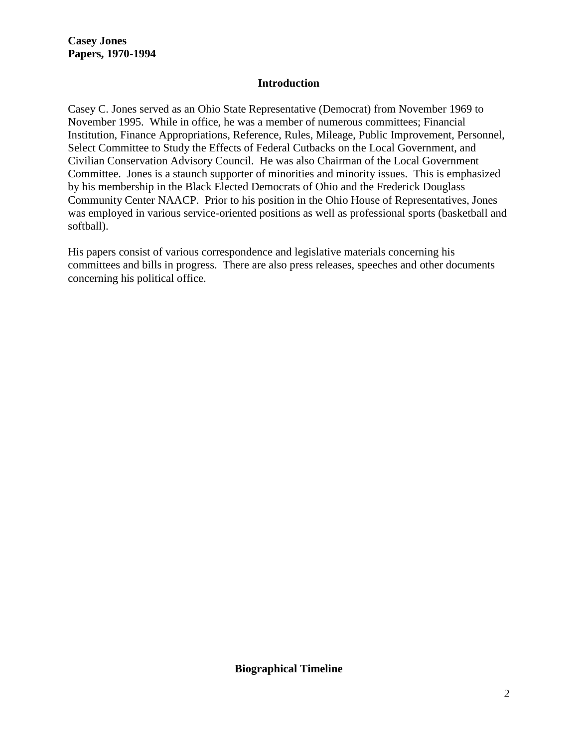**Casey Jones Papers, 1970-1994**

#### **Introduction**

Casey C. Jones served as an Ohio State Representative (Democrat) from November 1969 to November 1995. While in office, he was a member of numerous committees; Financial Institution, Finance Appropriations, Reference, Rules, Mileage, Public Improvement, Personnel, Select Committee to Study the Effects of Federal Cutbacks on the Local Government, and Civilian Conservation Advisory Council. He was also Chairman of the Local Government Committee. Jones is a staunch supporter of minorities and minority issues. This is emphasized by his membership in the Black Elected Democrats of Ohio and the Frederick Douglass Community Center NAACP. Prior to his position in the Ohio House of Representatives, Jones was employed in various service-oriented positions as well as professional sports (basketball and softball).

His papers consist of various correspondence and legislative materials concerning his committees and bills in progress. There are also press releases, speeches and other documents concerning his political office.

**Biographical Timeline**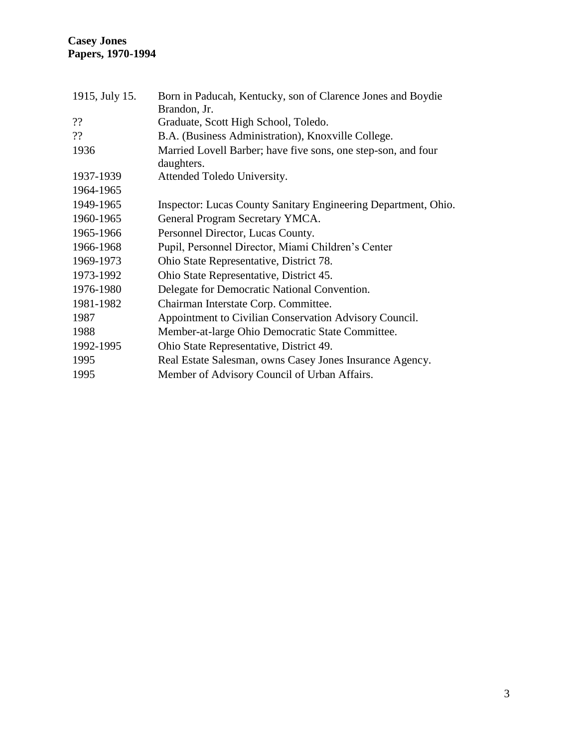| 1915, July 15. | Born in Paducah, Kentucky, son of Clarence Jones and Boydie<br>Brandon, Jr. |
|----------------|-----------------------------------------------------------------------------|
| ??             | Graduate, Scott High School, Toledo.                                        |
| ??             | B.A. (Business Administration), Knoxville College.                          |
| 1936           | Married Lovell Barber; have five sons, one step-son, and four<br>daughters. |
| 1937-1939      | Attended Toledo University.                                                 |
| 1964-1965      |                                                                             |
| 1949-1965      | Inspector: Lucas County Sanitary Engineering Department, Ohio.              |
| 1960-1965      | General Program Secretary YMCA.                                             |
| 1965-1966      | Personnel Director, Lucas County.                                           |
| 1966-1968      | Pupil, Personnel Director, Miami Children's Center                          |
| 1969-1973      | Ohio State Representative, District 78.                                     |
| 1973-1992      | Ohio State Representative, District 45.                                     |
| 1976-1980      | Delegate for Democratic National Convention.                                |
| 1981-1982      | Chairman Interstate Corp. Committee.                                        |
| 1987           | Appointment to Civilian Conservation Advisory Council.                      |
| 1988           | Member-at-large Ohio Democratic State Committee.                            |
| 1992-1995      | Ohio State Representative, District 49.                                     |
| 1995           | Real Estate Salesman, owns Casey Jones Insurance Agency.                    |
| 1995           | Member of Advisory Council of Urban Affairs.                                |
|                |                                                                             |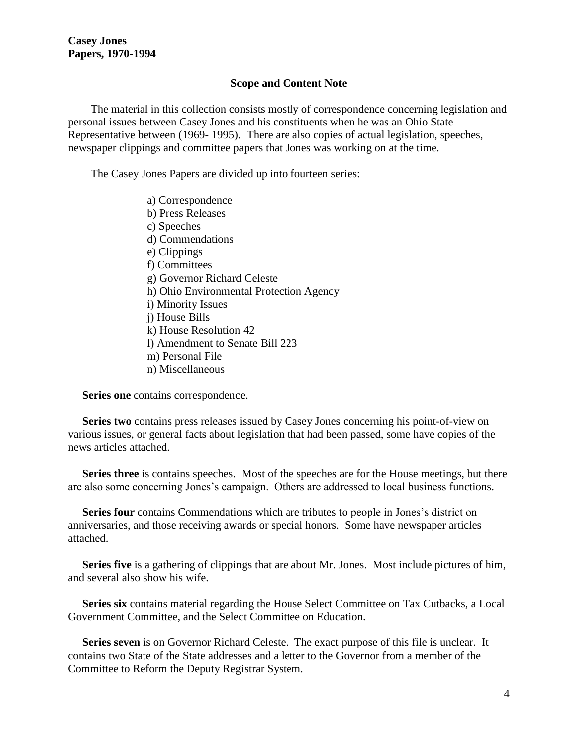#### **Scope and Content Note**

 The material in this collection consists mostly of correspondence concerning legislation and personal issues between Casey Jones and his constituents when he was an Ohio State Representative between (1969- 1995). There are also copies of actual legislation, speeches, newspaper clippings and committee papers that Jones was working on at the time.

The Casey Jones Papers are divided up into fourteen series:

 a) Correspondence b) Press Releases c) Speeches d) Commendations e) Clippings f) Committees g) Governor Richard Celeste h) Ohio Environmental Protection Agency i) Minority Issues j) House Bills k) House Resolution 42 l) Amendment to Senate Bill 223 m) Personal File n) Miscellaneous

**Series one** contains correspondence.

 **Series two** contains press releases issued by Casey Jones concerning his point-of-view on various issues, or general facts about legislation that had been passed, some have copies of the news articles attached.

 **Series three** is contains speeches. Most of the speeches are for the House meetings, but there are also some concerning Jones's campaign. Others are addressed to local business functions.

**Series four** contains Commendations which are tributes to people in Jones's district on anniversaries, and those receiving awards or special honors. Some have newspaper articles attached.

 **Series five** is a gathering of clippings that are about Mr. Jones. Most include pictures of him, and several also show his wife.

 **Series six** contains material regarding the House Select Committee on Tax Cutbacks, a Local Government Committee, and the Select Committee on Education.

 **Series seven** is on Governor Richard Celeste. The exact purpose of this file is unclear. It contains two State of the State addresses and a letter to the Governor from a member of the Committee to Reform the Deputy Registrar System.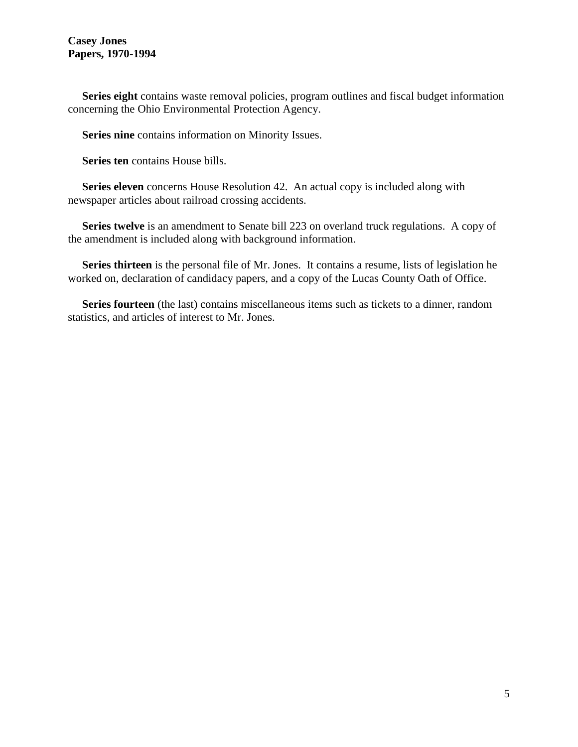#### **Casey Jones Papers, 1970-1994**

 **Series eight** contains waste removal policies, program outlines and fiscal budget information concerning the Ohio Environmental Protection Agency.

**Series nine** contains information on Minority Issues.

**Series ten** contains House bills.

 **Series eleven** concerns House Resolution 42. An actual copy is included along with newspaper articles about railroad crossing accidents.

 **Series twelve** is an amendment to Senate bill 223 on overland truck regulations. A copy of the amendment is included along with background information.

 **Series thirteen** is the personal file of Mr. Jones. It contains a resume, lists of legislation he worked on, declaration of candidacy papers, and a copy of the Lucas County Oath of Office.

 **Series fourteen** (the last) contains miscellaneous items such as tickets to a dinner, random statistics, and articles of interest to Mr. Jones.